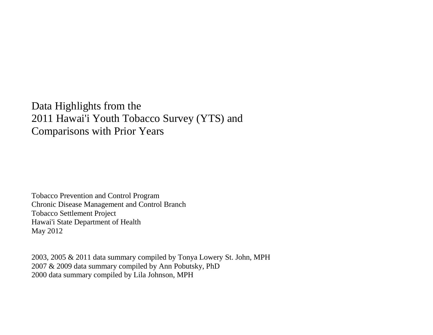Data Highlights from the 2011 Hawai'i Youth Tobacco Survey (YTS) and Comparisons with Prior Years

Tobacco Prevention and Control Program Chronic Disease Management and Control Branch Tobacco Settlement Project Hawai'i State Department of Health May 2012

2003, 2005 & 2011 data summary compiled by Tonya Lowery St. John, MPH 2007 & 2009 data summary compiled by Ann Pobutsky, PhD 2000 data summary compiled by Lila Johnson, MPH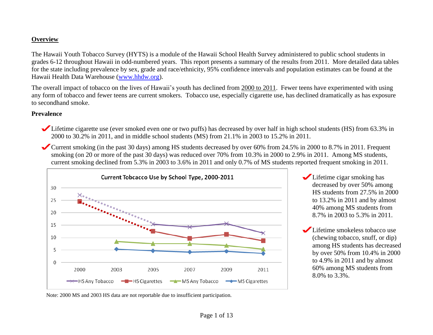### **Overview**

The Hawaii Youth Tobacco Survey (HYTS) is a module of the Hawaii School Health Survey administered to public school students in grades 6-12 throughout Hawaii in odd-numbered years. This report presents a summary of the results from 2011. More detailed data tables for the state including prevalence by sex, grade and race/ethnicity, 95% confidence intervals and population estimates can be found at the Hawaii Health Data Warehouse [\(www.hhdw.org\)](http://www.hhdw.org/).

The overall impact of tobacco on the lives of Hawaii's youth has declined from 2000 to 2011. Fewer teens have experimented with using any form of tobacco and fewer teens are current smokers. Tobacco use, especially cigarette use, has declined dramatically as has exposure to secondhand smoke.

#### **Prevalence**

- Lifetime cigarette use (ever smoked even one or two puffs) has decreased by over half in high school students (HS) from 63.3% in 2000 to 30.2% in 2011, and in middle school students (MS) from 21.1% in 2003 to 15.2% in 2011.
- Current smoking (in the past 30 days) among HS students decreased by over 60% from 24.5% in 2000 to 8.7% in 2011. Frequent smoking (on 20 or more of the past 30 days) was reduced over 70% from 10.3% in 2000 to 2.9% in 2011. Among MS students, current smoking declined from 5.3% in 2003 to 3.6% in 2011 and only 0.7% of MS students reported frequent smoking in 2011.



- Lifetime cigar smoking has decreased by over 50% among HS students from 27.5% in 2000 to 13.2% in 2011 and by almost 40% among MS students from 8.7% in 2003 to 5.3% in 2011.
- Lifetime smokeless tobacco use (chewing tobacco, snuff, or dip) among HS students has decreased by over 50% from 10.4% in 2000 to 4.9% in 2011 and by almost 60% among MS students from 8.0% to 3.3%.

Note: 2000 MS and 2003 HS data are not reportable due to insufficient participation.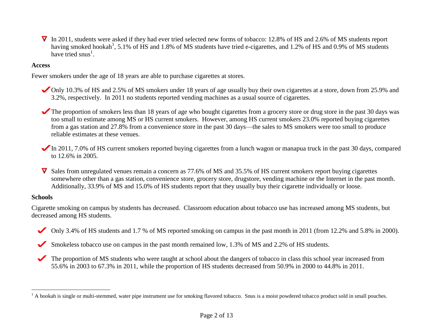$\nabla$  In 2011, students were asked if they had ever tried selected new forms of tobacco: 12.8% of HS and 2.6% of MS students report having smoked hookah<sup>1</sup>, 5.1% of HS and 1.8% of MS students have tried e-cigarettes, and 1.2% of HS and 0.9% of MS students have tried snus<sup>1</sup>.

### **Access**

Fewer smokers under the age of 18 years are able to purchase cigarettes at stores.

- Only 10.3% of HS and 2.5% of MS smokers under 18 years of age usually buy their own cigarettes at a store, down from 25.9% and 3.2%, respectively. In 2011 no students reported vending machines as a usual source of cigarettes.
- The proportion of smokers less than 18 years of age who bought cigarettes from a grocery store or drug store in the past 30 days was too small to estimate among MS or HS current smokers. However, among HS current smokers 23.0% reported buying cigarettes from a gas station and 27.8% from a convenience store in the past 30 days—the sales to MS smokers were too small to produce reliable estimates at these venues.
- In 2011, 7.0% of HS current smokers reported buying cigarettes from a lunch wagon or manapua truck in the past 30 days, compared to 12.6% in 2005.
- Sales from unregulated venues remain a concern as 77.6% of MS and 35.5% of HS current smokers report buying cigarettes somewhere other than a gas station, convenience store, grocery store, drugstore, vending machine or the Internet in the past month. Additionally, 33.9% of MS and 15.0% of HS students report that they usually buy their cigarette individually or loose.

#### **Schools**

 $\overline{a}$ 

Cigarette smoking on campus by students has decreased. Classroom education about tobacco use has increased among MS students, but decreased among HS students.

- Only 3.4% of HS students and 1.7 % of MS reported smoking on campus in the past month in 2011 (from 12.2% and 5.8% in 2000).  $\blacktriangledown$
- Smokeless tobacco use on campus in the past month remained low, 1.3% of MS and 2.2% of HS students.  $\blacktriangledown$ 
	- The proportion of MS students who were taught at school about the dangers of tobacco in class this school year increased from 55.6% in 2003 to 67.3% in 2011, while the proportion of HS students decreased from 50.9% in 2000 to 44.8% in 2011.

 $<sup>1</sup>$  A hookah is single or multi-stemmed, water pipe instrument use for smoking flavored tobacco. Snus is a moist powdered tobacco product sold in small pouches.</sup>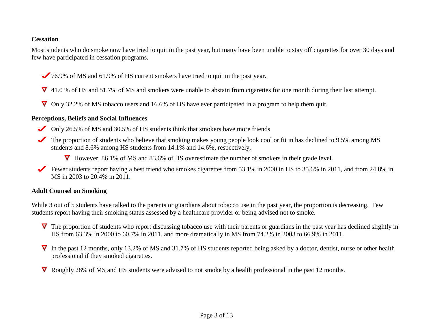### **Cessation**

Most students who do smoke now have tried to quit in the past year, but many have been unable to stay off cigarettes for over 30 days and few have participated in cessation programs.

- 76.9% of MS and 61.9% of HS current smokers have tried to quit in the past year.
- $\overline{V}$  41.0 % of HS and 51.7% of MS and smokers were unable to abstain from cigarettes for one month during their last attempt.
- Only 32.2% of MS tobacco users and 16.6% of HS have ever participated in a program to help them quit.

#### **Perceptions, Beliefs and Social Influences**

- Only 26.5% of MS and 30.5% of HS students think that smokers have more friends
- The proportion of students who believe that smoking makes young people look cool or fit in has declined to 9.5% among MS students and 8.6% among HS students from 14.1% and 14.6%, respectively,

▼ However, 86.1% of MS and 83.6% of HS overestimate the number of smokers in their grade level.

Fewer students report having a best friend who smokes cigarettes from  $53.1\%$  in 2000 in HS to 35.6% in 2011, and from 24.8% in MS in 2003 to 20.4% in 2011.

### **Adult Counsel on Smoking**

While 3 out of 5 students have talked to the parents or guardians about tobacco use in the past year, the proportion is decreasing. Few students report having their smoking status assessed by a healthcare provider or being advised not to smoke.

- $\nabla$  The proportion of students who report discussing tobacco use with their parents or guardians in the past year has declined slightly in HS from 63.3% in 2000 to 60.7% in 2011, and more dramatically in MS from 74.2% in 2003 to 66.9% in 2011.
- $\nabla$  In the past 12 months, only 13.2% of MS and 31.7% of HS students reported being asked by a doctor, dentist, nurse or other health professional if they smoked cigarettes.
- Roughly 28% of MS and HS students were advised to not smoke by a health professional in the past 12 months.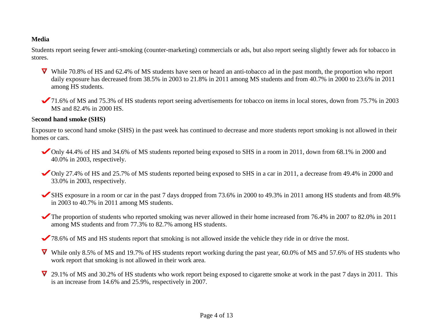# **Media**

Students report seeing fewer anti-smoking (counter-marketing) commercials or ads, but also report seeing slightly fewer ads for tobacco in stores.

- While 70.8% of HS and 62.4% of MS students have seen or heard an anti-tobacco ad in the past month, the proportion who report daily exposure has decreased from 38.5% in 2003 to 21.8% in 2011 among MS students and from 40.7% in 2000 to 23.6% in 2011 among HS students.
- 71.6% of MS and 75.3% of HS students report seeing advertisements for tobacco on items in local stores, down from 75.7% in 2003 MS and 82.4% in 2000 HS.

#### S**econd hand smoke (SHS)**

Exposure to second hand smoke (SHS) in the past week has continued to decrease and more students report smoking is not allowed in their homes or cars.

- Only 44.4% of HS and 34.6% of MS students reported being exposed to SHS in a room in 2011, down from 68.1% in 2000 and 40.0% in 2003, respectively.
- Only 27.4% of HS and 25.7% of MS students reported being exposed to SHS in a car in 2011, a decrease from 49.4% in 2000 and 33.0% in 2003, respectively.
- SHS exposure in a room or car in the past 7 days dropped from 73.6% in 2000 to 49.3% in 2011 among HS students and from 48.9% in 2003 to 40.7% in 2011 among MS students.
- The proportion of students who reported smoking was never allowed in their home increased from 76.4% in 2007 to 82.0% in 2011 among MS students and from 77.3% to 82.7% among HS students.
- 78.6% of MS and HS students report that smoking is not allowed inside the vehicle they ride in or drive the most.
- While only 8.5% of MS and 19.7% of HS students report working during the past year, 60.0% of MS and 57.6% of HS students who work report that smoking is not allowed in their work area.
- $\overline{V}$  29.1% of MS and 30.2% of HS students who work report being exposed to cigarette smoke at work in the past 7 days in 2011. This is an increase from 14.6% and 25.9%, respectively in 2007.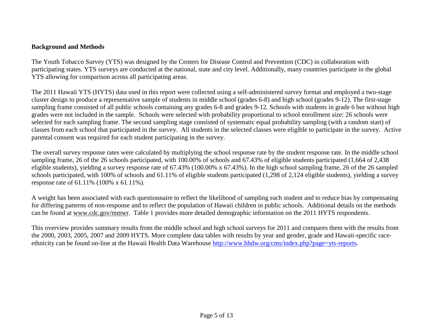## **Background and Methods**

The Youth Tobacco Survey (YTS) was designed by the Centers for Disease Control and Prevention (CDC) in collaboration with participating states. YTS surveys are conducted at the national, state and city level. Additionally, many countries participate in the global YTS allowing for comparison across all participating areas.

The 2011 Hawaii YTS (HYTS) data used in this report were collected using a self-administered survey format and employed a two-stage cluster design to produce a representative sample of students in middle school (grades 6-8) and high school (grades 9-12). The first-stage sampling frame consisted of all public schools containing any grades 6-8 and grades 9-12. Schools with students in grade 6 but without high grades were not included in the sample. Schools were selected with probability proportional to school enrollment size: 26 schools were selected for each sampling frame. The second sampling stage consisted of systematic equal probability sampling (with a random start) of classes from each school that participated in the survey. All students in the selected classes were eligible to participate in the survey. Active parental consent was required for each student participating in the survey.

The overall survey response rates were calculated by multiplying the school response rate by the student response rate. In the middle school sampling frame, 26 of the 26 schools participated, with 100.00% of schools and 67.43% of eligible students participated (1,664 of 2,438 eligible students), yielding a survey response rate of 67.43% (100.00% x 67.43%). In the high school sampling frame, 26 of the 26 sampled schools participated, with 100% of schools and 61.11% of eligible students participated (1,298 of 2,124 eligible students), yielding a survey response rate of 61.11% (100% x 61.11%).

A weight has been associated with each questionnaire to reflect the likelihood of sampling each student and to reduce bias by compensating for differing patterns of non-response and to reflect the population of Hawaii children in public schools. Additional details on the methods can be found at [www.cdc.gov/mmwr.](http://www.cdc.gov/mmwr/PDF/ss/ss5004.pdf) Table 1 provides more detailed demographic information on the 2011 HYTS respondents.

This overview provides summary results from the middle school and high school surveys for 2011 and compares them with the results from the 2000, 2003, 2005, 2007 and 2009 HYTS. More complete data tables with results by year and gender, grade and Hawaii-specific raceethnicity can be found on-line at the Hawaii Health Data Warehouse [http://www.hhdw.org/cms/index.php?page=yts-reports.](http://www.hhdw.org/cms/index.php?page=yts-reports)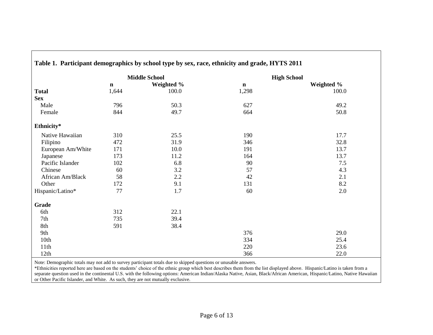|                   |             | <b>Middle School</b> |             | <b>High School</b> |
|-------------------|-------------|----------------------|-------------|--------------------|
|                   | $\mathbf n$ | Weighted %           | $\mathbf n$ | Weighted %         |
| <b>Total</b>      | 1,644       | 100.0                | 1,298       | 100.0              |
| <b>Sex</b>        |             |                      |             |                    |
| Male              | 796         | 50.3                 | 627         | 49.2               |
| Female            | 844         | 49.7                 | 664         | 50.8               |
| Ethnicity*        |             |                      |             |                    |
| Native Hawaiian   | 310         | 25.5                 | 190         | 17.7               |
| Filipino          | 472         | 31.9                 | 346         | 32.8               |
| European Am/White | 171         | 10.0                 | 191         | 13.7               |
| Japanese          | 173         | 11.2                 | 164         | 13.7               |
| Pacific Islander  | 102         | 6.8                  | 90          | 7.5                |
| Chinese           | 60          | 3.2                  | 57          | 4.3                |
| African Am/Black  | 58          | 2.2                  | 42          | 2.1                |
| Other             | 172         | 9.1                  | 131         | 8.2                |
| Hispanic/Latino*  | 77          | 1.7                  | 60          | 2.0                |
| <b>Grade</b>      |             |                      |             |                    |
| 6th               | 312         | 22.1                 |             |                    |
| 7th               | 735         | 39.4                 |             |                    |
| 8th               | 591         | 38.4                 |             |                    |
| 9th               |             |                      | 376         | 29.0               |
| 10th              |             |                      | 334         | 25.4               |
| 11th              |             |                      | 220         | 23.6               |
| 12th              |             |                      | 366         | 22.0               |

### **Table 1. Participant demographics by school type by sex, race, ethnicity and grade, HYTS 2011**

Note: Demographic totals may not add to survey participant totals due to skipped questions or unusable answers.

\*Ethnicities reported here are based on the students' choice of the ethnic group which best describes them from the list displayed above. Hispanic/Latino is taken from a separate question used in the continental U.S. with the following options: American Indian/Alaska Native, Asian, Black/African American, Hispanic/Latino, Native Hawaiian or Other Pacific Islander, and White. As such, they are not mutually exclusive.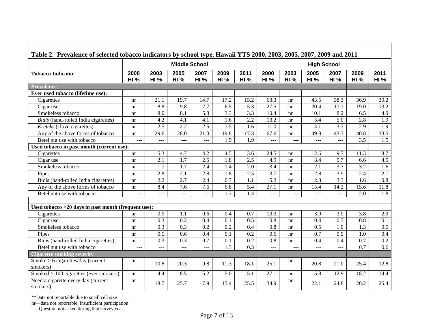| Table 2. Prevalence of selected tobacco indicators by school type, Hawaii YTS 2000, 2003, 2005, 2007, 2009 and 2011 |                     |                     |                      |                     |                     |                     |                     |                     |                     |                     |                     |                     |
|---------------------------------------------------------------------------------------------------------------------|---------------------|---------------------|----------------------|---------------------|---------------------|---------------------|---------------------|---------------------|---------------------|---------------------|---------------------|---------------------|
|                                                                                                                     |                     |                     | <b>Middle School</b> |                     |                     | <b>High School</b>  |                     |                     |                     |                     |                     |                     |
| <b>Tobacco Indicator</b>                                                                                            | 2000<br><b>HI %</b> | 2003<br><b>HI %</b> | 2005<br><b>HI %</b>  | 2007<br><b>HI %</b> | 2009<br><b>HI %</b> | 2011<br><b>HI %</b> | 2000<br><b>HI %</b> | 2003<br><b>HI %</b> | 2005<br><b>HI %</b> | 2007<br><b>HI %</b> | 2009<br><b>HI %</b> | 2011<br><b>HI %</b> |
| <b>Prevalence</b>                                                                                                   |                     |                     |                      |                     |                     |                     |                     |                     |                     |                     |                     |                     |
| Ever used tobacco (lifetime use):                                                                                   |                     |                     |                      |                     |                     |                     |                     |                     |                     |                     |                     |                     |
| Cigarettes                                                                                                          | nr                  | 21.1                | 19.7                 | 14.7                | 17.2                | 15.2                | 63.3                | nr                  | 43.5                | 38.3                | 36.9                | 30.2                |
| Cigar use                                                                                                           | nr                  | 8.8                 | 9.8                  | 7.7                 | 6.5                 | 5.3                 | 27.5                | nr                  | 20.4                | 17.1                | 19.0                | 13.2                |
| Smokeless tobacco                                                                                                   | nr                  | 8.0                 | 8.1                  | 5.8                 | $\overline{3.3}$    | 3.3                 | 10.4                | nr                  | 10.1                | 8.2                 | 6.5                 | 4.9                 |
| Bidis (hand-rolled India cigarettes)                                                                                | nr                  | 4.2                 | 4.1                  | 4.1                 | 1.6                 | 2.2                 | 13.2                | nr                  | 5.4                 | 5.0                 | 2.8                 | 1.9                 |
| Kreteks (clove cigarettes)                                                                                          | nr                  | 2.5                 | 2.2                  | 2.5                 | $\overline{1.5}$    | 1.6                 | 11.0                | nr                  | 4.1                 | 3.7                 | 2.9                 | $\overline{1.9}$    |
| Any of the above forms of tobacco                                                                                   | nr                  | 29.6                | 28.0                 | 21.3                | 19.8                | $17.\overline{3}$   | 67.6                | nr                  | 49.8                | 43.7                | 40.8                | 33.5                |
| Betel nut use with tobacco                                                                                          |                     |                     | $---$                | ---                 | 1.9                 | 1.9                 | $---$               |                     |                     | ---                 | 3.5                 | 1.5                 |
| Used tobacco in past month (current use):                                                                           |                     |                     |                      |                     |                     |                     |                     |                     |                     |                     |                     |                     |
| Cigarettes                                                                                                          | nr                  | 5.3                 | 4.7                  | 4.2                 | 4.5                 | 3.6                 | 24.5                | nr                  | 12.6                | 9.7                 | 11.3                | 8.7                 |
| Cigar use                                                                                                           | nr                  | 2.1                 | 1.7                  | 2.5                 | 1.8                 | $\overline{2.5}$    | 4.9                 | nr                  | 3.4                 | 5.7                 | 6.6                 | 4.5                 |
| Smokeless tobacco                                                                                                   | nr                  | 1.7                 | 1.7                  | 2.4                 | 1.4                 | 2.0                 | 3.4                 | nr                  | 2.1                 | 3.7                 | 3.2                 | 1.6                 |
| Pipes                                                                                                               | nr                  | 2.8                 | 2.1                  | 2.8                 | 1.8                 | $\overline{2.5}$    | $\overline{3.7}$    | nr                  | 2.8                 | 3.9                 | 2.4                 | 2.1                 |
| Bidis (hand-rolled India cigarettes)                                                                                | nr                  | 2.2                 | 2.7                  | 2.4                 | 0.7                 | 1.1                 | 5.2                 | nr                  | 2.3                 | 3.3                 | 1.6                 | 0.8                 |
| Any of the above forms of tobacco                                                                                   | nr                  | 8.4                 | 7.6                  | 7.6                 | 6.8                 | 5.4                 | 27.1                | nr                  | 15.4                | 14.2                | 15.6                | 11.8                |
| Betel nut use with tobacco                                                                                          | ---                 | $\frac{1}{2}$       | $---$                | $\cdots$            | 1.3                 | 1.4                 | $-$                 | $---$               | $\cdots$            | $---$               | 2.0                 | 1.8                 |
|                                                                                                                     |                     |                     |                      |                     |                     |                     |                     |                     |                     |                     |                     |                     |
| Used tobacco $>20$ days in past month (frequent use):                                                               |                     |                     |                      |                     |                     |                     |                     |                     |                     |                     |                     |                     |
| Cigarettes                                                                                                          | nr                  | 0.9                 | 1.1                  | 0.6                 | 0.4                 | 0.7                 | 10.3                | nr                  | 3.9                 | 3.0                 | 3.8                 | 2.9                 |
| Cigar use                                                                                                           | nr                  | 0.3                 | 0.2                  | 0.4                 | 0.1                 | 0.5                 | 0.8                 | nr                  | 0.4                 | 0.7                 | 0.8                 | 0.1                 |
| Smokeless tobacco                                                                                                   | nr                  | 0.3                 | 0.3                  | 0.2                 | 0.2                 | 0.4                 | 0.8                 | nr                  | 0.5                 | 1.0                 | 1.3                 | 0.5                 |
| Pipes                                                                                                               | nr                  | 0.5                 | 0.6                  | 0.4                 | 0.1                 | 0.2                 | 0.6                 | nr                  | 0.7                 | 0.5                 | 1.0                 | 0.4                 |
| Bidis (hand-rolled India cigarettes)                                                                                | nr                  | 0.3                 | 0.3                  | 0.7                 | 0.1                 | 0.2                 | 0.8                 | nr                  | 0.4                 | 0.4                 | 0.7                 | 0.2                 |
| Betel nut use with tobacco                                                                                          | $---$               | $\frac{1}{2}$       | $---$                | $\cdots$            | 1.3                 | 0.3                 | ---                 | $ -$                | $---$               | $---$               | 0.7                 | 0.6                 |
| <b>Cigarette smoking severity</b>                                                                                   |                     |                     |                      |                     |                     |                     |                     |                     |                     |                     |                     |                     |
| Smoke $\geq$ 6 cigarettes/day (current<br>smokers)                                                                  | nr                  | 10.8                | 20.3                 | 9.8                 | 11.3                | 18.1                | 25.1                | nr                  | 20.8                | 21.0                | 25.4                | 12.8                |
| Smoked $> 100$ cigarettes (ever smokers)                                                                            | nr                  | 4.4                 | 8.5                  | 5.2                 | 5.0                 | 5.1                 | 27.1                | nr                  | 15.8                | 12.9                | 18.2                | 14.4                |
| Need a cigarette every day (current<br>smokers)                                                                     | nr                  | 18.7                | 25.7                 | 17.9                | 15.4                | 25.5                | 34.9                | nr                  | 22.1                | 24.8                | 20.2                | 25.4                |

 $\Gamma$ 

nr—data not reportable, insufficient participation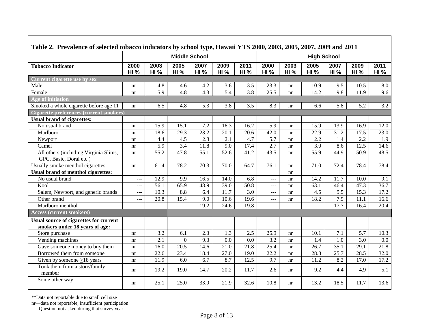| Table 2. Prevalence of selected tobacco indicators by school type, Hawaii YTS 2000, 2003, 2005, 2007, 2009 and 2011 |                     |                     |                      |                     |                     |                   |                     |                     |                     |                     |                     |                     |
|---------------------------------------------------------------------------------------------------------------------|---------------------|---------------------|----------------------|---------------------|---------------------|-------------------|---------------------|---------------------|---------------------|---------------------|---------------------|---------------------|
|                                                                                                                     |                     |                     | <b>Middle School</b> |                     |                     |                   |                     |                     | <b>High School</b>  |                     |                     |                     |
| <b>Tobacco Indicator</b>                                                                                            | 2000<br><b>HI %</b> | 2003<br><b>HI %</b> | 2005<br><b>HI %</b>  | 2007<br><b>HI %</b> | 2009<br><b>HI %</b> | 2011<br>HI%       | 2000<br><b>HI %</b> | 2003<br><b>HI %</b> | 2005<br><b>HI</b> % | 2007<br><b>HI %</b> | 2009<br><b>HI %</b> | 2011<br><b>HI</b> % |
| Current cigarette use by sex                                                                                        |                     |                     |                      |                     |                     |                   |                     |                     |                     |                     |                     |                     |
| Male                                                                                                                | nr                  | 4.8                 | 4.6                  | 4.2                 | 3.6                 | 3.5               | 23.3                | nr                  | 10.9                | 9.5                 | 10.5                | 8.0                 |
| Female                                                                                                              | nr                  | $\overline{5.9}$    | $\overline{4.8}$     | $\overline{4.3}$    | 5.4                 | $\overline{3.8}$  | 25.5                | nr                  | 14.2                | $\overline{9.8}$    | 11.9                | $\overline{9.6}$    |
| Age of initiation                                                                                                   |                     |                     |                      |                     |                     |                   |                     |                     |                     |                     |                     |                     |
| Smoked a whole cigarette before age 11                                                                              | nr                  | 6.5                 | 4.8                  | 5.3                 | 3.8                 | 3.5               | 8.3                 | nr                  | 6.6                 | 5.8                 | 5.2                 | 3.2                 |
| <b>Cigarette preferences (current smokers)</b>                                                                      |                     |                     |                      |                     |                     |                   |                     |                     |                     |                     |                     |                     |
| <b>Usual brand of cigarettes:</b>                                                                                   |                     |                     |                      |                     |                     |                   |                     |                     |                     |                     |                     |                     |
| No usual brand                                                                                                      | nr                  | 15.9                | 15.1                 | 7.2                 | 16.3                | 16.2              | 5.9                 | nr                  | 15.9                | 13.9                | 16.9                | 12.0                |
| Marlboro                                                                                                            | nr                  | 18.6                | 29.3                 | 23.2                | 20.1                | 20.6              | 42.0                | nr                  | 22.9                | 31.2                | 17.5                | 23.0                |
| Newport                                                                                                             | nr                  | 4.4                 | 4.5                  | 2.8                 | 2.1                 | 4.7               | 5.7                 | nr                  | 2.2                 | 1.4                 | 2.2                 | 1.9                 |
| Camel                                                                                                               | nr                  | $\overline{5.9}$    | 3.4                  | 11.8                | 9.0                 | 17.4              | 2.7                 | nr                  | 3.0                 | 8.6                 | 12.5                | 14.6                |
| All others (including Virginia Slims,<br>GPC, Basic, Doral etc.)                                                    | nr                  | 55.2                | 47.8                 | 55.1                | 52.6                | 41.2              | 43.5                | nr                  | 55.9                | 44.9                | 50.9                | 48.5                |
| Usually smoke menthol cigarettes                                                                                    | nr                  | 61.4                | 78.2                 | 70.3                | 70.0                | 64.7              | 76.1                | nr                  | 71.0                | 72.4                | 78.4                | 78.4                |
| <b>Usual brand of menthol cigarettes:</b>                                                                           |                     |                     |                      |                     |                     |                   |                     | nr                  |                     |                     |                     |                     |
| No usual brand                                                                                                      | ---                 | 12.9                | 9.9                  | 16.5                | 14.0                | 6.8               | $---$               | nr                  | 14.2                | 11.7                | 10.0                | 9.1                 |
| Kool                                                                                                                | $ -$                | 56.1                | 65.9                 | 48.9                | 39.0                | 50.8              | $\overline{a}$      | nr                  | 63.1                | 46.4                | 47.3                | 36.7                |
| Salem, Newport, and generic brands                                                                                  | ---                 | 10.3                | 8.8                  | 6.4                 | 11.7                | 3.0               | ---                 | nr                  | 4.5                 | 9.5                 | 15.3                | 17.2                |
| Other brand                                                                                                         | ---                 | 20.8                | 15.4                 | 9.0                 | 10.6                | 19.6              | ---                 | nr                  | 18.2                | 7.9                 | 11.1                | 16.6                |
| Marlboro menthol                                                                                                    |                     |                     |                      | 19.2                | 24.6                | 19.8              |                     |                     |                     | 17.7                | 16.4                | 20.4                |
| <b>Access (current smokers)</b>                                                                                     |                     |                     |                      |                     |                     |                   |                     |                     |                     |                     |                     |                     |
| <b>Usual source of cigarettes for current</b><br>smokers under 18 years of age:                                     |                     |                     |                      |                     |                     |                   |                     |                     |                     |                     |                     |                     |
| Store purchase                                                                                                      | nr                  | $\overline{3.2}$    | 6.1                  | 2.3                 | 1.3                 | 2.5               | 25.9                | nr                  | 10.1                | 7.1                 | 5.7                 | 10.3                |
| Vending machines                                                                                                    | nr                  | $\overline{2.1}$    | $\boldsymbol{0}$     | 9.3                 | $\overline{0.0}$    | $\overline{0.0}$  | $\overline{3.2}$    | nr                  | 1.4                 | 1.0                 | 3.0                 | $0.0\,$             |
| Gave someone money to buy them                                                                                      | nr                  | 16.0                | $\overline{20.5}$    | 14.6                | $21.\overline{0}$   | $\overline{21.8}$ | 25.4                | nr                  | 26.7                | 35.1                | 29.1                | 21.8                |
| Borrowed them from someone                                                                                          | nr                  | 22.6                | 23.4                 | 18.4                | 27.0                | 19.0              | $\overline{22.2}$   | nr                  | 28.3                | 25.7                | 28.5                | 32.0                |
| Given by someone $\geq$ 18 years                                                                                    | nr                  | 11.9                | 6.0                  | 6.7                 | 8.7                 | 12.5              | 9.7                 | nr                  | 11.2                | 8.2                 | 17.0                | 17.2                |
| Took them from a store/family<br>member                                                                             | nr                  | 19.2                | 19.0                 | 14.7                | 20.2                | 11.7              | 2.6                 | nr                  | 9.2                 | 4.4                 | 4.9                 | 5.1                 |
| Some other way                                                                                                      | nr                  | 25.1                | 25.0                 | 33.9                | 21.9                | 32.6              | 10.8                | nr                  | 13.2                | 18.5                | 11.7                | 13.6                |

nr—data not reportable, insufficient participation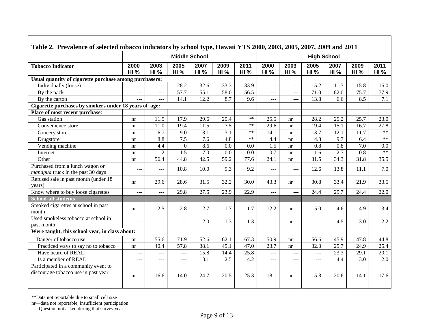| Table 2. Prevalence of selected tobacco indicators by school type, Hawaii YTS 2000, 2003, 2005, 2007, 2009 and 2011 |                |                  |                      |                     |                     |                     |                     |                     |                     |                     |                     |                     |  |  |
|---------------------------------------------------------------------------------------------------------------------|----------------|------------------|----------------------|---------------------|---------------------|---------------------|---------------------|---------------------|---------------------|---------------------|---------------------|---------------------|--|--|
|                                                                                                                     |                |                  | <b>Middle School</b> |                     |                     |                     | <b>High School</b>  |                     |                     |                     |                     |                     |  |  |
| <b>Tobacco Indicator</b>                                                                                            | 2000<br>HI%    | 2003<br>HI%      | 2005<br><b>HI %</b>  | 2007<br><b>HI</b> % | 2009<br><b>HI</b> % | 2011<br><b>HI %</b> | 2000<br><b>HI %</b> | 2003<br><b>HI %</b> | 2005<br><b>HI %</b> | 2007<br><b>HI %</b> | 2009<br><b>HI %</b> | 2011<br><b>HI</b> % |  |  |
| Usual quantity of cigarette purchase among purchasers:                                                              |                |                  |                      |                     |                     |                     |                     |                     |                     |                     |                     |                     |  |  |
| Individually (loose)                                                                                                |                | $\overline{a}$   | 28.2                 | 32.6                | 33.3                | 33.9                | <u></u>             | $\overline{a}$      | 15.2                | 11.3                | 15.8                | 15.0                |  |  |
| By the pack                                                                                                         | $\overline{a}$ | $---$            | 57.7                 | 55.1                | 58.0                | 56.5                | ---                 | $\frac{1}{2}$       | 71.0                | 82.0                | 75.7                | 77.9                |  |  |
| By the carton                                                                                                       |                | $---$            | 14.1                 | 12.2                | 8.7                 | 9.6                 | $---$               | $---$               | 13.8                | 6.6                 | 8.5                 | 7.1                 |  |  |
| Cigarette purchases by smokers under 18 years of age:                                                               |                |                  |                      |                     |                     |                     |                     |                     |                     |                     |                     |                     |  |  |
| Place of most recent purchase:                                                                                      |                |                  |                      |                     |                     |                     |                     |                     |                     |                     |                     |                     |  |  |
| Gas station                                                                                                         | nr             | 11.5             | 17.9                 | 29.6                | 25.4                | $**$                | 25.5                | nr                  | 28.2                | 25.2                | 25.7                | 23.0                |  |  |
| Convenience store                                                                                                   | nr             | 11.0             | 19.4                 | 11.5                | 7.5                 | $**$                | 29.6                | nr                  | 19.4                | 15.1                | 16.7                | 27.8                |  |  |
| Grocery store                                                                                                       | nr             | 6.7              | 9.0                  | 3.1                 | 3.1                 | $**$                | 14.1                | nr                  | 13.7                | 12.1                | 11.7                | $***$               |  |  |
| Drugstore                                                                                                           | nr             | $\overline{8.8}$ | 7.5                  | $\overline{7.6}$    | $\overline{4.8}$    | $**$                | 4.4                 | nr                  | $\overline{4.8}$    | 9.7                 | 6.4                 | $**$                |  |  |
| Vending machine                                                                                                     | nr             | 4.4              | $\theta$             | 8.6                 | 0.0                 | 0.0                 | 1.5                 | nr                  | 0.8                 | 0.8                 | 7.0                 | 0.0                 |  |  |
| Internet                                                                                                            | nr             | $\overline{1.2}$ | 1.5                  | 7.0                 | 0.0                 | 0.0                 | $\overline{0.7}$    | nr                  | 1.6                 | $\overline{2.7}$    | $\overline{0.8}$    | $***$               |  |  |
| Other                                                                                                               | nr             | 56.4             | 44.8                 | 42.5                | $\overline{59.2}$   | 77.6                | 24.1                | nr                  | 31.5                | 34.3                | 31.8                | 35.5                |  |  |
| Purchased from a lunch wagon or<br>manapua truck in the past 30 days                                                | ---            | ---              | 10.8                 | 10.0                | 9.3                 | 9.2                 | ---                 | $---$               | 12.6                | 13.8                | 11.1                | 7.0                 |  |  |
| Refused sale in past month (under 18<br>years)                                                                      | nr             | 29.6             | 28.6                 | 31.5                | 32.2                | 30.0                | 43.3                | nr                  | 30.8                | 33.4                | 21.9                | 33.5                |  |  |
| Know where to buy loose cigarettes                                                                                  | ---            | $---$            | 29.8                 | 27.5                | 23.9                | $\overline{22.9}$   | $\overline{a}$      | $---$               | 24.4                | 29.7                | 24.4                | 22.0                |  |  |
| <b>School-all students</b>                                                                                          |                |                  |                      |                     |                     |                     |                     |                     |                     |                     |                     |                     |  |  |
| Smoked cigarettes at school in past<br>month                                                                        | nr             | 2.5              | 2.8                  | 2.7                 | 1.7                 | 1.7                 | 12.2                | nr                  | 5.0                 | 4.6                 | 4.9                 | 3.4                 |  |  |
| Used smokeless tobacco at school in<br>past month                                                                   | $---$          | $---$            | $---$                | 2.0                 | 1.3                 | 1.3                 | ---                 | nr                  | $---$               | 4.5                 | 3.0                 | 2.2                 |  |  |
| Were taught, this school year, in class about:                                                                      |                |                  |                      |                     |                     |                     |                     |                     |                     |                     |                     |                     |  |  |
| Danger of tobacco use                                                                                               | nr             | 55.6             | 71.9                 | 52.6                | 62.1                | 67.3                | 50.9                | nr                  | 56.6                | 45.9                | 47.8                | 44.8                |  |  |
| Practiced ways to say no to tobacco                                                                                 | nr             | 40.4             | 57.8                 | 38.1                | 45.1                | 47.0                | 23.7                | nr                  | 32.3                | 25.7                | 24.9                | 25.4                |  |  |
| Have heard of REAL                                                                                                  | ---            | ---              | ---                  | 15.8                | 14.4                | 25.8                | ---                 | $---$               | $\overline{a}$      | 23.3                | 29.1                | 20.1                |  |  |
| Is a member of REAL                                                                                                 | ---            | ---              | $  -$                | 3.1                 | 2.5                 | 4.2                 | $---$               | $\overline{a}$      | ---                 | 4.4                 | 3.0                 | 2.0                 |  |  |
| Participated in a community event to                                                                                |                |                  |                      |                     |                     |                     |                     |                     |                     |                     |                     |                     |  |  |
| discourage tobacco use in past year                                                                                 | nr             | 16.6             | 14.0                 | 24.7                | 20.5                | 25.3                | 18.1                | nr                  | 15.3                | 20.6                | 14.1                | 17.6                |  |  |

nr—data not reportable, insufficient participation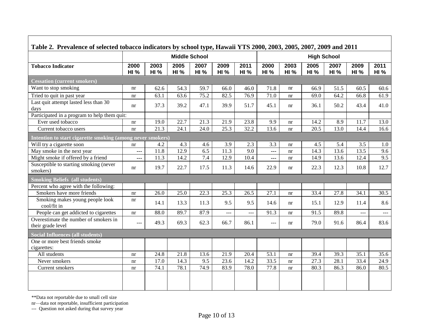| Table 2. Prevalence of selected tobacco indicators by school type, Hawaii YTS 2000, 2003, 2005, 2007, 2009 and 2011 |                     |                                            |                     |                     |                     |                     |                     |                     |                     |                     |                     |                     |
|---------------------------------------------------------------------------------------------------------------------|---------------------|--------------------------------------------|---------------------|---------------------|---------------------|---------------------|---------------------|---------------------|---------------------|---------------------|---------------------|---------------------|
|                                                                                                                     |                     | <b>Middle School</b><br><b>High School</b> |                     |                     |                     |                     |                     |                     |                     |                     |                     |                     |
| <b>Tobacco Indicator</b>                                                                                            | 2000<br><b>HI %</b> | 2003<br><b>HI %</b>                        | 2005<br><b>HI %</b> | 2007<br><b>HI %</b> | 2009<br><b>HI %</b> | 2011<br><b>HI %</b> | 2000<br><b>HI %</b> | 2003<br><b>HI %</b> | 2005<br><b>HI %</b> | 2007<br><b>HI %</b> | 2009<br><b>HI %</b> | 2011<br><b>HI %</b> |
| <b>Cessation (current smokers)</b>                                                                                  |                     |                                            |                     |                     |                     |                     |                     |                     |                     |                     |                     |                     |
| Want to stop smoking                                                                                                | nr                  | 62.6                                       | 54.3                | 59.7                | 66.0                | 46.0                | 71.8                | nr                  | 66.9                | 51.5                | 60.5                | 60.6                |
| Tried to quit in past year                                                                                          | nr                  | 63.1                                       | 63.6                | 75.2                | 82.5                | 76.9                | 71.0                | nr                  | 69.0                | 64.2                | 66.8                | 61.9                |
| Last quit attempt lasted less than 30<br>days                                                                       | nr                  | 37.3                                       | 39.2                | 47.1                | 39.9                | 51.7                | 45.1                | nr                  | 36.1                | 50.2                | 43.4                | 41.0                |
| Participated in a program to help them quit:                                                                        |                     |                                            |                     |                     |                     |                     |                     |                     |                     |                     |                     |                     |
| Ever used tobacco                                                                                                   | nr                  | 19.0                                       | 22.7                | 21.3                | 21.9                | 23.8                | 9.9                 | nr                  | 14.2                | 8.9                 | 11.7                | 13.0                |
| Current tobacco users                                                                                               | nr                  | 21.3                                       | 24.1                | 24.0                | 25.3                | 32.2                | 13.6                | nr                  | 20.5                | 13.0                | 14.4                | 16.6                |
| Intention to start cigarette smoking (among never smokers)                                                          |                     |                                            |                     |                     |                     |                     |                     |                     |                     |                     |                     |                     |
| Will try a cigarette soon                                                                                           | nr                  | 4.2                                        | 4.3                 | 4.6                 | 3.9                 | 2.3                 | 3.3                 | nr                  | 4.5                 | 5.4                 | 3.5                 | 1.0                 |
| May smoke in the next year                                                                                          | ---                 | 11.8                                       | 12.9                | 6.5                 | 11.3                | 9.0                 | ---                 | nr                  | 14.3                | 13.6                | 13.5                | 9.6                 |
| Might smoke if offered by a friend                                                                                  | ---                 | 11.3                                       | 14.2                | 7.4                 | 12.9                | 10.4                | ---                 | nr                  | 14.9                | 13.6                | 12.4                | 9.5                 |
| Susceptible to starting smoking (never<br>smokers)                                                                  | nr                  | 19.7                                       | 22.7                | 17.5                | 11.3                | 14.6                | 22.9                | nr                  | 22.3                | 12.3                | 10.8                | 12.7                |
| <b>Smoking Beliefs (all students)</b>                                                                               |                     |                                            |                     |                     |                     |                     |                     |                     |                     |                     |                     |                     |
| Percent who agree with the following:                                                                               |                     |                                            |                     |                     |                     |                     |                     |                     |                     |                     |                     |                     |
| Smokers have more friends                                                                                           | nr                  | 26.0                                       | 25.0                | 22.3                | 25.3                | 26.5                | 27.1                | nr                  | 33.4                | 27.8                | 34.1                | 30.5                |
| Smoking makes young people look<br>cool/fit in                                                                      | nr                  | 14.1                                       | 13.3                | 11.3                | 9.5                 | 9.5                 | 14.6                | nr                  | 15.1                | 12.9                | 11.4                | 8.6                 |
| People can get addicted to cigarettes                                                                               | nr                  | 88.0                                       | 89.7                | 87.9                | ---                 | ---                 | 91.3                | nr                  | 91.5                | 89.8                |                     | $---$               |
| Overestimate the number of smokers in<br>their grade level                                                          | ---                 | 49.3                                       | 69.3                | 62.3                | 66.7                | 86.1                | ---                 | nr                  | 79.0                | 91.6                | 86.4                | 83.6                |
| <b>Social Influences (all students)</b>                                                                             |                     |                                            |                     |                     |                     |                     |                     |                     |                     |                     |                     |                     |
| One or more best friends smoke<br>cigarettes:                                                                       |                     |                                            |                     |                     |                     |                     |                     |                     |                     |                     |                     |                     |
| All students                                                                                                        | nr                  | 24.8                                       | 21.8                | 13.6                | 21.9                | 20.4                | 53.1                | nr                  | 39.4                | 39.3                | 35.1                | 35.6                |
| Never smokers                                                                                                       | nr                  | 17.0                                       | 14.3                | 9.5                 | 23.6                | 14.2                | 33.5                | nr                  | 27.3                | 28.1                | 33.4                | 24.9                |
| Current smokers                                                                                                     | nr                  | 74.1                                       | 78.1                | 74.9                | 83.9                | 78.0                | 77.8                | nr                  | 80.3                | 86.3                | 86.0                | 80.5                |
|                                                                                                                     |                     |                                            |                     |                     |                     |                     |                     |                     |                     |                     |                     |                     |

Г

nr—data not reportable, insufficient participation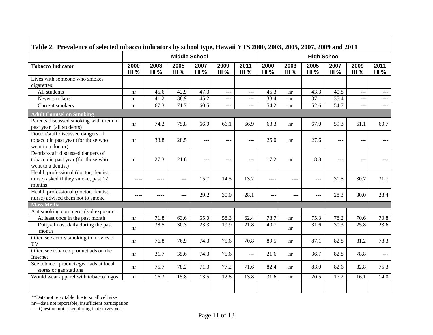| Table 2. Prevalence of selected tobacco indicators by school type, Hawaii YTS 2000, 2003, 2005, 2007, 2009 and 2011 |                     |                     |                      |                     |                     |                     |                     |                     |                     |                     |                     |                      |
|---------------------------------------------------------------------------------------------------------------------|---------------------|---------------------|----------------------|---------------------|---------------------|---------------------|---------------------|---------------------|---------------------|---------------------|---------------------|----------------------|
|                                                                                                                     |                     |                     | <b>Middle School</b> |                     | <b>High School</b>  |                     |                     |                     |                     |                     |                     |                      |
| <b>Tobacco Indicator</b>                                                                                            | 2000<br><b>HI %</b> | 2003<br><b>HI %</b> | 2005<br><b>HI %</b>  | 2007<br><b>HI %</b> | 2009<br><b>HI %</b> | 2011<br><b>HI %</b> | 2000<br><b>HI %</b> | 2003<br><b>HI %</b> | 2005<br><b>HI %</b> | 2007<br><b>HI %</b> | 2009<br><b>HI %</b> | 2011<br>HI%          |
| Lives with someone who smokes<br>cigarettes:                                                                        |                     |                     |                      |                     |                     |                     |                     |                     |                     |                     |                     |                      |
| All students                                                                                                        | nr                  | 45.6                | 42.9                 | 47.3                | $\overline{a}$      | $\overline{a}$      | 45.3                | nr                  | 43.3                | 40.8                | $\overline{a}$      | $\frac{1}{2}$        |
| Never smokers                                                                                                       | nr                  | 41.2                | 38.9                 | 45.2                | $ -$                | $\overline{a}$      | 38.4                | nr                  | 37.1                | 35.4                | $\frac{1}{2}$       | $\overline{a}$       |
| Current smokers                                                                                                     | nr                  | 67.3                | 71.7                 | 60.5                | ---                 | $---$               | 54.2                | nr                  | 52.6                | 54.7                | $---$               | ---                  |
| <b>Adult Counsel on Smoking</b>                                                                                     |                     |                     |                      |                     |                     |                     |                     |                     |                     |                     |                     |                      |
| Parents discussed smoking with them in<br>past year (all students)                                                  | nr                  | 74.2                | 75.8                 | 66.0                | 66.1                | 66.9                | 63.3                | nr                  | 67.0                | 59.3                | 61.1                | 60.7                 |
| Doctor/staff discussed dangers of<br>tobacco in past year (for those who<br>went to a doctor)                       | nr                  | 33.8                | 28.5                 | ---                 | ---                 | $-$                 | 25.0                | nr                  | 27.6                | $---$               | $ -$                | $ -$                 |
| Dentist/staff discussed dangers of<br>tobacco in past year (for those who<br>went to a dentist)                     | nr                  | 27.3                | 21.6                 | $---$               | $- - -$             | $---$               | 17.2                | nr                  | 18.8                | $---$               | $-$                 |                      |
| Health professional (doctor, dentist,<br>nurse) asked if they smoke, past 12<br>months                              | $---$               |                     | $---$                | 15.7                | 14.5                | 13.2                | $---$               |                     | ---                 | 31.5                | 30.7                | 31.7                 |
| Health professional (doctor, dentist,<br>nurse) advised them not to smoke                                           | $---$               | ----                | $---$                | 29.2                | 30.0                | 28.1                | ---                 | $---$               | $---$               | 28.3                | 30.0                | 28.4                 |
| <b>Mass Media</b>                                                                                                   |                     |                     |                      |                     |                     |                     |                     |                     |                     |                     |                     |                      |
| Antismoking commercial/ad exposure:                                                                                 |                     |                     |                      |                     |                     |                     |                     |                     |                     |                     |                     |                      |
| At least once in the past month                                                                                     | nr                  | 71.8                | 63.6                 | 65.0                | 58.3                | 62.4                | $78.\overline{7}$   | nr                  | 75.3                | 78.2                | 70.6                | 70.8                 |
| Daily/almost daily during the past<br>month                                                                         | nr                  | 38.5                | 30.3                 | 23.3                | 19.9                | 21.8                | 40.7                | nr                  | 31.6                | 30.3                | 25.8                | 23.6                 |
| Often see actors smoking in movies or<br>TV                                                                         | nr                  | 76.8                | 76.9                 | 74.3                | 75.6                | 70.8                | 89.5                | nr                  | 87.1                | 82.8                | 81.2                | 78.3                 |
| Often see tobacco product ads on the<br>Internet                                                                    | nr                  | 31.7                | 35.6                 | 74.3                | 75.6                | $  -$               | 21.6                | nr                  | 36.7                | 82.8                | 78.8                | $\sim$ $\sim$ $\sim$ |
| See tobacco products/gear ads at local<br>stores or gas stations                                                    | nr                  | 75.7                | 78.2                 | 71.3                | 77.2                | 71.6                | 82.4                | nr                  | 83.0                | 82.6                | 82.8                | 75.3                 |
| Would wear apparel with tobacco logos                                                                               | nr                  | 16.3                | 15.8                 | 13.5                | 12.8                | 13.8                | 31.6                | nr                  | 20.5                | 17.2                | 16.1                | 14.0                 |
|                                                                                                                     |                     |                     |                      |                     |                     |                     |                     |                     |                     |                     |                     |                      |

nr—data not reportable, insufficient participation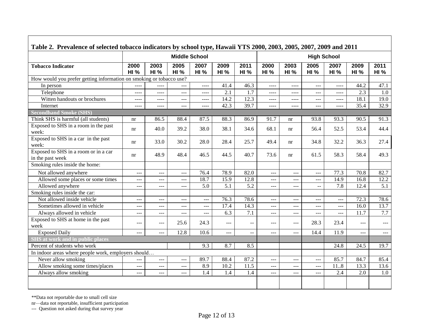| Table 2. Prevalence of selected tobacco indicators by school type, Hawaii YTS 2000, 2003, 2005, 2007, 2009 and 2011 |                     |                      |                                               |                     |                      |                     |                     |                      |                     |                     |                     |                     |
|---------------------------------------------------------------------------------------------------------------------|---------------------|----------------------|-----------------------------------------------|---------------------|----------------------|---------------------|---------------------|----------------------|---------------------|---------------------|---------------------|---------------------|
|                                                                                                                     |                     | <b>Middle School</b> |                                               |                     |                      |                     |                     |                      | <b>High School</b>  |                     |                     |                     |
| <b>Tobacco Indicator</b>                                                                                            | 2000<br><b>HI %</b> | 2003<br><b>HI %</b>  | 2005<br><b>HI %</b>                           | 2007<br><b>HI %</b> | 2009<br><b>HI %</b>  | 2011<br><b>HI %</b> | 2000<br><b>HI %</b> | 2003<br><b>HI %</b>  | 2005<br><b>HI %</b> | 2007<br><b>HI %</b> | 2009<br><b>HI %</b> | 2011<br><b>HI %</b> |
| How would you prefer getting information on smoking or tobacco use?                                                 |                     |                      |                                               |                     |                      |                     |                     |                      |                     |                     |                     |                     |
| In person                                                                                                           | $---$               | $---$                | $---$                                         | $---$               | 41.4                 | 46.3                | $- - - -$           | $\cdots$             | $\cdots$            | $\frac{1}{2}$       | 44.2                | 47.1                |
| Telephone                                                                                                           | $---$               | $\frac{1}{2}$        | $\sim$ $\sim$ $\sim$                          | $---$               | 2.1                  | 1.7                 | $\frac{1}{2}$       | ----                 | ---                 | $\frac{1}{2}$       | 2.3                 | 1.0                 |
| Witten handouts or brochures                                                                                        | $---$               | $\frac{1}{2}$        | $\sim$ $\sim$ $\sim$                          | $---$               | 14.2                 | 12.3                | $\cdots$            | ----                 | ---                 | $\frac{1}{2}$       | 18.1                | 19.0                |
| Internet                                                                                                            | $- - - -$           | $\cdots$             | $\sim$ $\sim$ $\sim$                          | $\cdots$            | 42.3                 | 39.7                | $\frac{1}{2}$       | ----                 | $\overline{a}$      | $\frac{1}{2}$       | 35.4                | 32.9                |
| <b>Secondhand Smoke (SHS)</b>                                                                                       |                     |                      |                                               |                     |                      |                     |                     |                      |                     |                     |                     |                     |
| Think SHS is harmful (all students)                                                                                 | nr                  | 86.5                 | 88.4                                          | 87.5                | 88.3                 | 86.9                | 91.7                | nr                   | 93.8                | 93.3                | 90.5                | 91.3                |
| Exposed to SHS in a room in the past<br>week:                                                                       | nr                  | 40.0                 | 39.2                                          | 38.0                | 38.1                 | 34.6                | 68.1                | nr                   | 56.4                | 52.5                | 53.4                | 44.4                |
| Exposed to SHS in a car in the past<br>week:                                                                        | nr                  | 33.0                 | 30.2                                          | 28.0                | 28.4                 | 25.7                | 49.4                | nr                   | 34.8                | 32.2                | 36.3                | 27.4                |
| Exposed to SHS in a room or in a car<br>in the past week                                                            | nr                  | 48.9                 | 48.4                                          | 46.5                | 44.5                 | 40.7                | 73.6                | nr                   | 61.5                | 58.3                | 58.4                | 49.3                |
| Smoking rules inside the home:                                                                                      |                     |                      |                                               |                     |                      |                     |                     |                      |                     |                     |                     |                     |
| Not allowed anywhere                                                                                                | ---                 | ---                  | $\sim$ $\sim$ $\sim$                          | 76.4                | 78.9                 | 82.0                | ---                 | $\qquad \qquad - -$  | ---                 | 77.3                | 70.8                | 82.7                |
| Allowed some places or some times                                                                                   | $---$               | $---$                | $\qquad \qquad - -$                           | 18.7                | 15.9                 | 12.8                | ---                 | $---$                | ---                 | 14.9                | 16.8                | 12.2                |
| Allowed anywhere                                                                                                    | $---$               | $---$                | $\frac{1}{2}$                                 | 5.0                 | 5.1                  | $\overline{5.2}$    | $---$               | $\frac{1}{2}$        | $\mathbf{u}$        | 7.8                 | 12.4                | 5.1                 |
| Smoking rules inside the car:                                                                                       |                     |                      |                                               |                     |                      |                     |                     |                      |                     |                     |                     |                     |
| Not allowed inside vehicle                                                                                          | $---$               | $---$                | $\frac{1}{2}$                                 | ---                 | 76.3                 | 78.6                | $---$               | $---$                | $---$               | $---$               | 72.3                | 78.6                |
| Sometimes allowed in vehicle                                                                                        | ---                 | $ -$                 | $\scriptstyle{\cdots}$ $\scriptstyle{\cdots}$ | ---                 | 17.4                 | 14.3                | ---                 | $\sim$ $\sim$ $\sim$ | $---$               | $---$               | 16.0                | 13.7                |
| Always allowed in vehicle                                                                                           | ---                 | ---                  | $---$                                         | ---                 | 6.3                  | 7.1                 | $---$               | $\sim$ $\sim$ $\sim$ | ---                 | ---                 | 11.7                | 7.7                 |
| Exposed to SHS at home in the past<br>week                                                                          | ---                 | $---$                | 25.6                                          | 24.3                | $\sim$ $\sim$ $\sim$ | $-$                 | ---                 | $---$                | 28.3                | 23.4                | $\qquad \qquad - -$ | $---$               |
| <b>Exposed</b> Daily                                                                                                | $---$               | $---$                | 12.8                                          | 10.6                | $- - -$              | $-$                 | ---                 | $\frac{1}{2}$        | 14.4                | 11.9                | $\frac{1}{2}$       | $---$               |
| <b>SHS</b> at work and in public places                                                                             |                     |                      |                                               |                     |                      |                     |                     |                      |                     |                     |                     |                     |
| Percent of students who work                                                                                        |                     |                      |                                               | 9.3                 | 8.7                  | 8.5                 |                     |                      |                     | 24.8                | 24.5                | 19.7                |
| In indoor areas where people work, employers should                                                                 |                     |                      |                                               |                     |                      |                     |                     |                      |                     |                     |                     |                     |
| Never allow smoking                                                                                                 | ---                 | $ -$                 | $---$                                         | 89.7                | 88.4                 | 87.2                | ---                 | $---$                | ---                 | 85.7                | 84.7                | 85.4                |
| Allow smoking some times/places                                                                                     | $---$               | ---                  | $- - -$                                       | 8.9                 | 10.2                 | 11.5                | ---                 | $---$                | ---                 | 118                 | 13.3                | 13.6                |
| Always allow smoking                                                                                                | ---                 | $---$                | $- - -$                                       | 1.4                 | 1.4                  | 1.4                 | ---                 | $---$                | $---$               | 2.4                 | 2.0                 | 1.0                 |
|                                                                                                                     |                     |                      |                                               |                     |                      |                     |                     |                      |                     |                     |                     |                     |

nr—data not reportable, insufficient participation